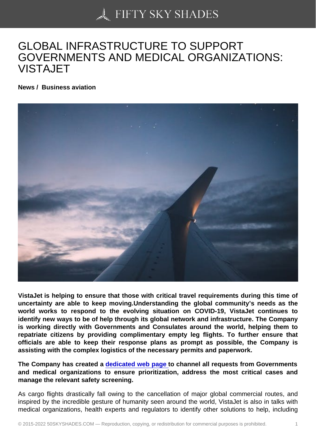## [GLOBAL INFRASTRU](https://50skyshades.com)CTURE TO SUPPORT GOVERNMENTS AND MEDICAL ORGANIZATIONS: VISTAJET

News / Business aviation

VistaJet is helping to ensure that those with critical travel requirements during this time of uncertainty are able to keep moving.Understanding the global community's needs as the world works to respond to the evolving situation on COVID-19, VistaJet continues to identify new ways to be of help through its global network and infrastructure. The Company is working directly with Governments and Consulates around the world, helping them to repatriate citizens by providing complimentary empty leg flights. To further ensure that officials are able to keep their response plans as prompt as possible, the Company is assisting with the complex logistics of the necessary permits and paperwork.

The Company has created a dedicated web page to channel all requests from Governments and medical organizations to ensure prioritization, address the most critical cases and manage the relevant safety screening.

As cargo flights drastically fall [owing to the cancella](https://www.vistajet.com/en-gb/community-support/)tion of major global commercial routes, and inspired by the incredible gesture of humanity seen around the world, VistaJet is also in talks with medical organizations, health experts and regulators to identify other solutions to help, including